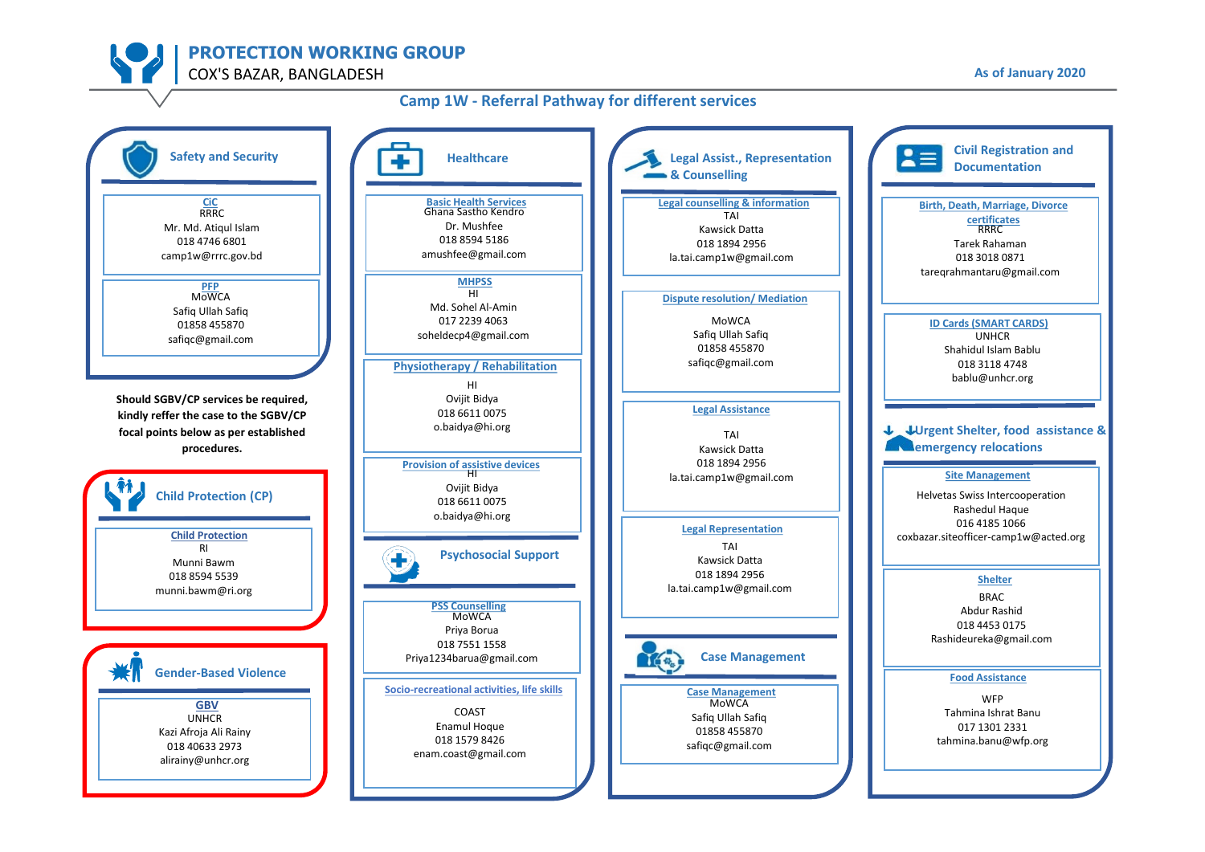**PROTECTION WORKING GROUP**

COX'S BAZAR, BANGLADESH **As of January 2020**

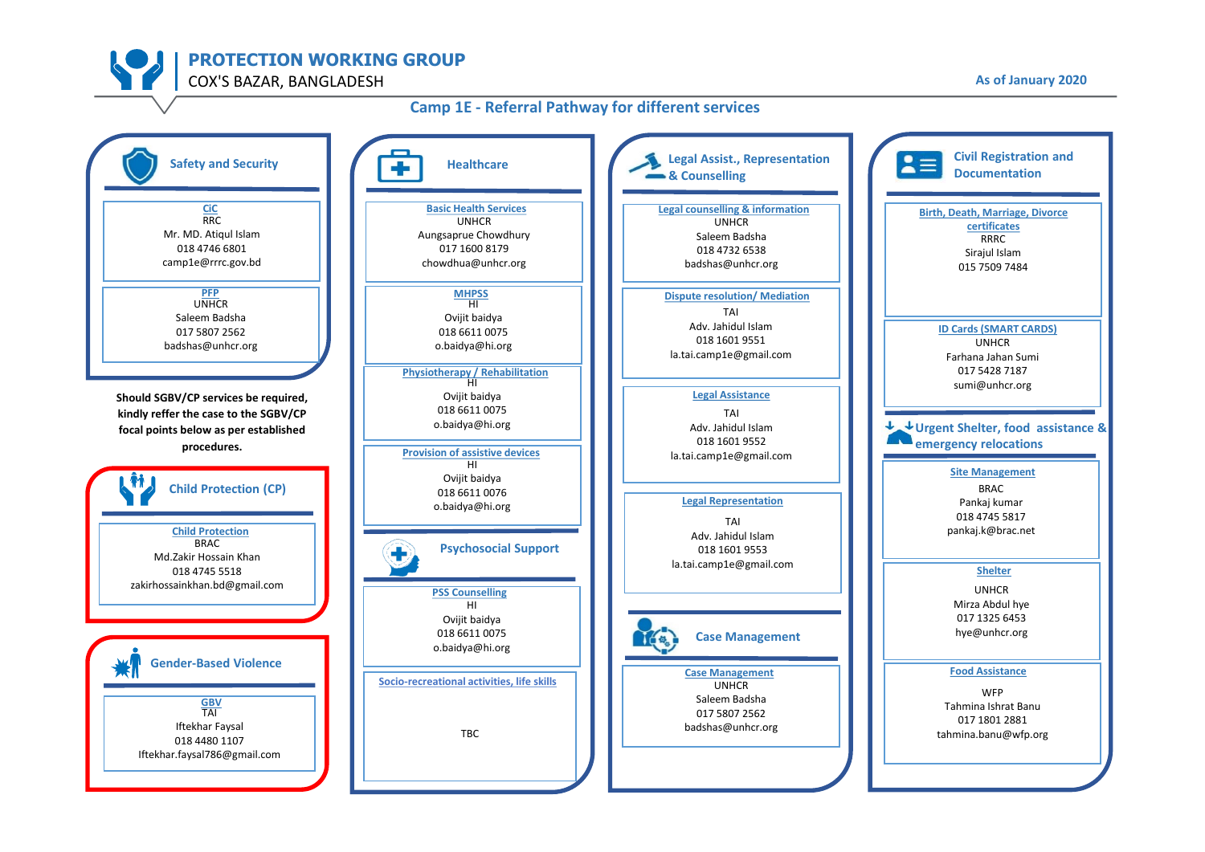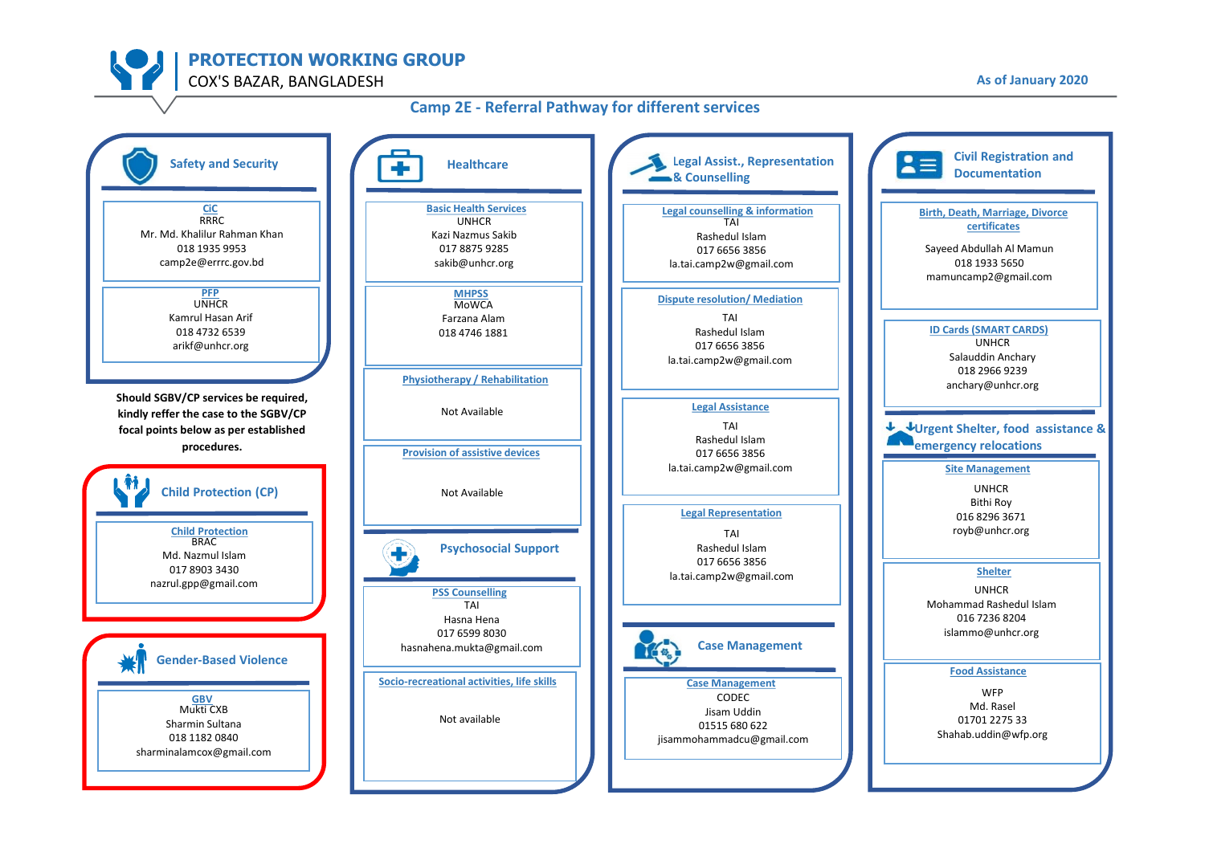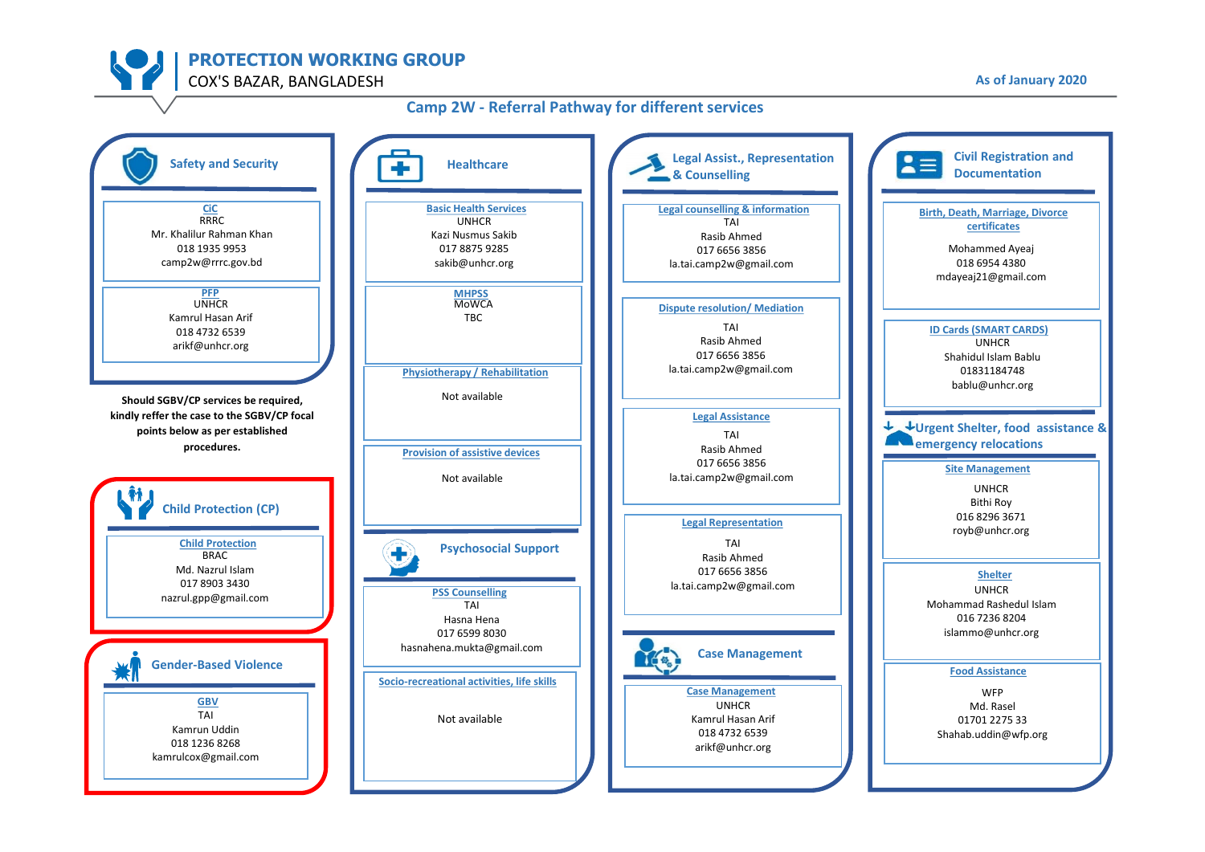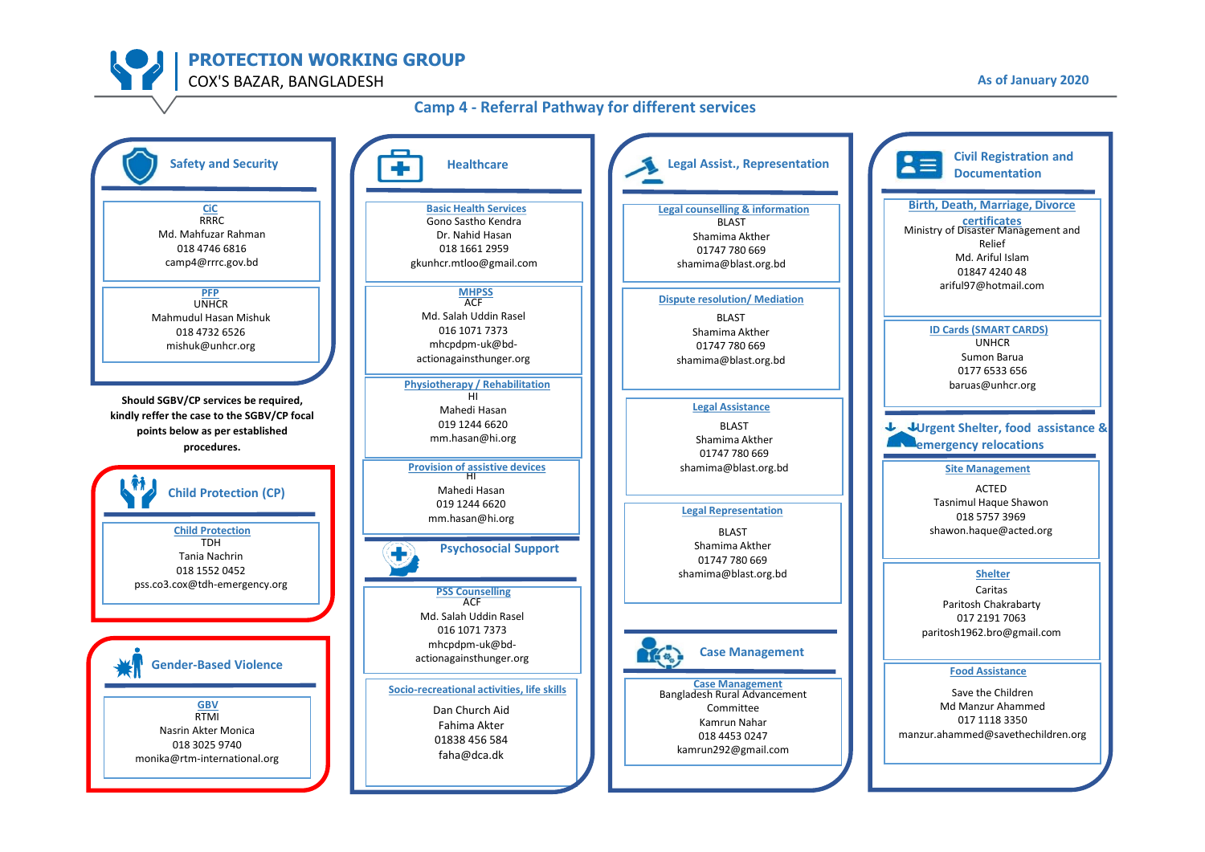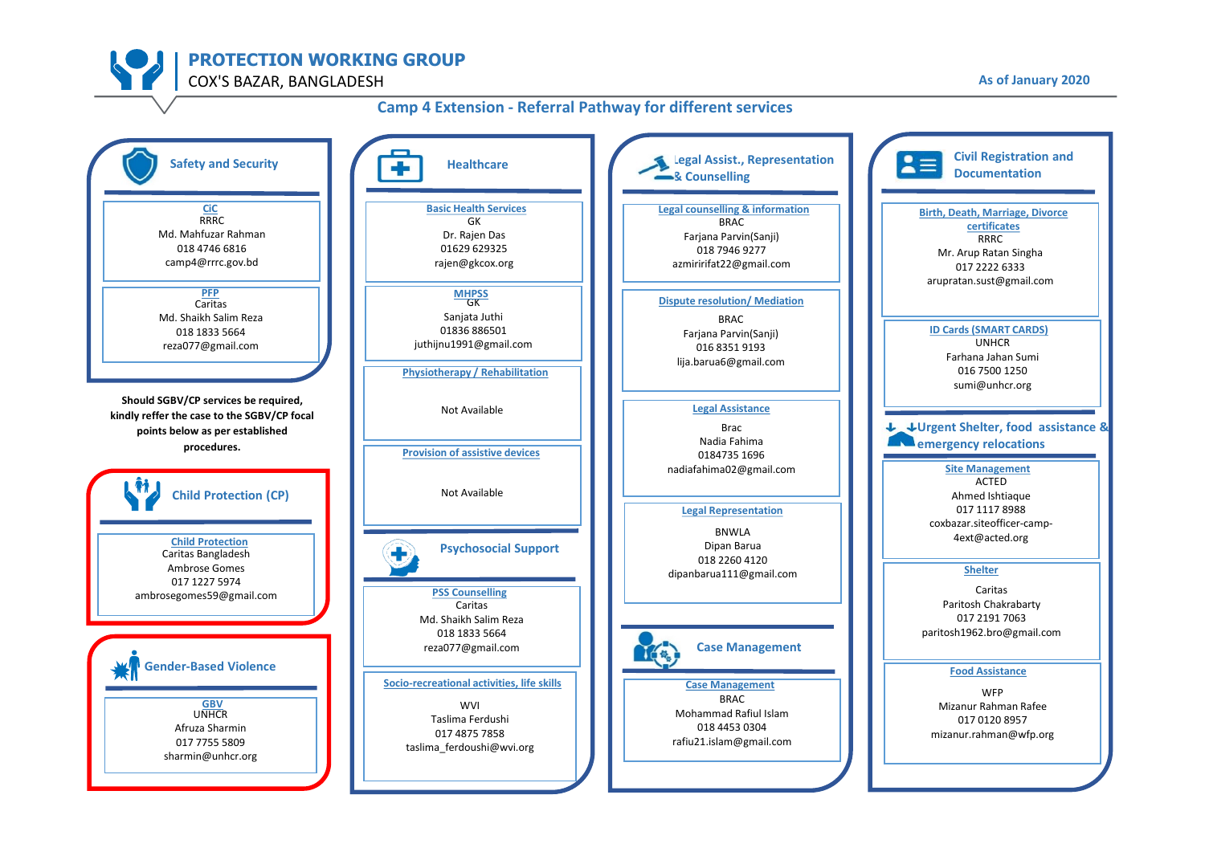

#### **Civil Registration and Legal Assist., Representation Safety and Security**  $2 \equiv$ **Healthcare Documentation A** Counselling **Basic Health Services Legal counselling & information CiC Birth, Death, Marriage, Divorce**  RRRC GK BRAC **certificates** Md. Mahfuzar Rahman Dr. Rajen Das Farjana Parvin(Sanji) RRRC 018 4746 6816 01629 629325 018 7946 9277 Mr. Arup Ratan Singha camp4@rrrc.gov.bd rajen@gkcox.org azmiririfat22@gmail.com 017 2222 6333 arupratan.sust@gmail.com **PFP** GK **MHPSS Dispute resolution/ Mediation** Caritas Md. Shaikh Salim Reza Sanjata Juthi BRAC **ID Cards (SMART CARDS)** 01836 886501 018 1833 5664 Farjana Parvin(Sanji) UNHCR juthijnu1991@gmail.com reza077@gmail.com 016 8351 9193 Farhana Jahan Sumi lija.barua6@gmail.com 016 7500 1250 **Physiotherapy / Rehabilitation** sumi@unhcr.org **Should SGBV/CP services be required, Legal Assistance** Not Available **kindly reffer the case to the SGBV/CP focal**  Brac J **Urgent Shelter, food assistance & points below as per established**  Nadia Fahima **Example 20 arms** relocations **procedures. Provision of assistive devices** 0184735 1696 nadiafahima02@gmail.com **Site Management** ACTED Not Available **Child Protection (CP)** Ahmed Ishtiaque **Legal Representation** 017 1117 8988 coxbazar.siteofficer-camp-BNWLA 4ext@acted.org **Child Protection** Dipan Barua **Psychosocial Support**  Caritas Bangladesh 018 2260 4120 Ambrose Gomes **Shelter** dipanbarua111@gmail.com 017 1227 5974 Caritas **PSS Counselling** ambrosegomes59@gmail.com Caritas Paritosh Chakrabarty Md. Shaikh Salim Reza 017 2191 7063 paritosh1962.bro@gmail.com 018 1833 5664 reza077@gmail.com **Case Management** If a **Gender-Based Violence Food Assistance Socio-recreational activities, life skills Case Management** WFP BRAC WVI UNHCR **GBV** Mizanur Rahman Rafee Mohammad Rafiul Islam Taslima Ferdushi 017 0120 8957 Afruza Sharmin 018 4453 0304 017 4875 7858 mizanur.rahman@wfp.org rafiu21.islam@gmail.com 017 7755 5809 taslima\_ferdoushi@wvi.org sharmin@unhcr.org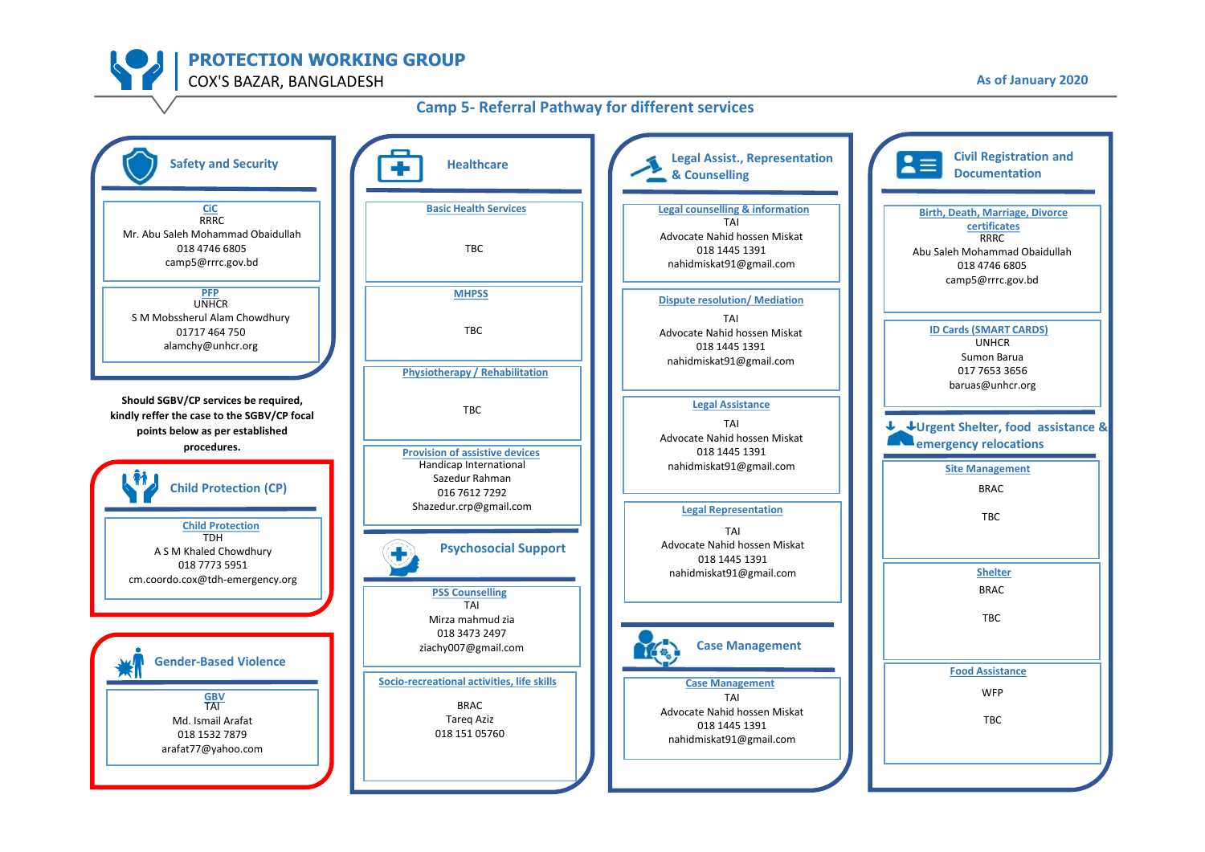

### **Camp 5- Referral Pathway for different services**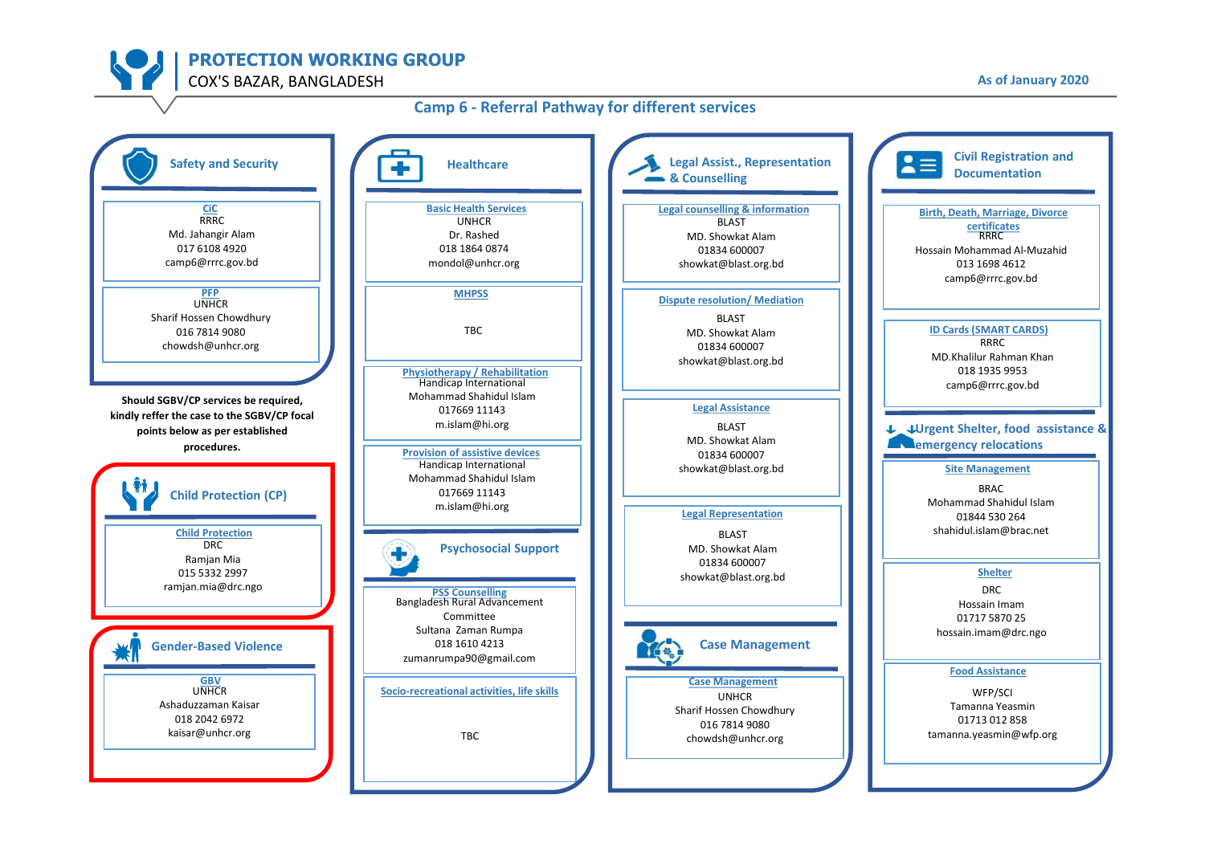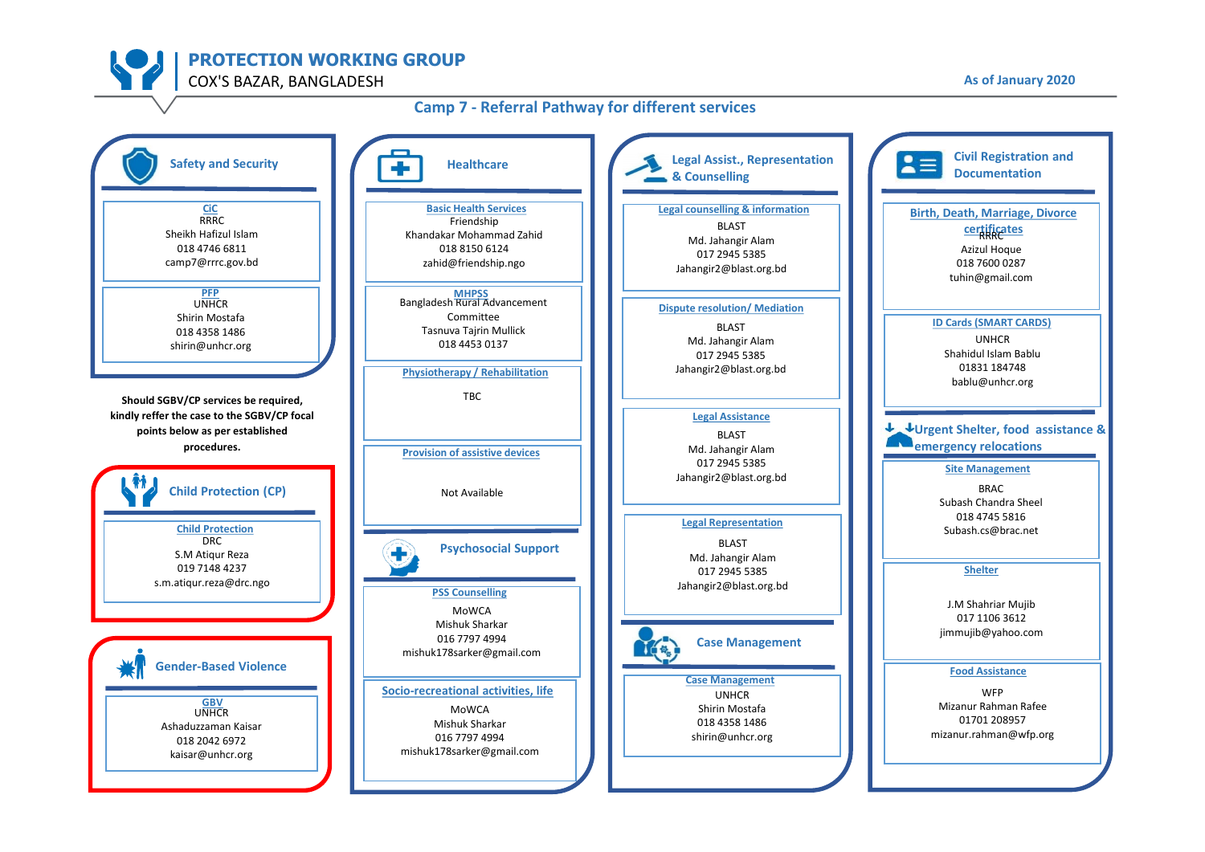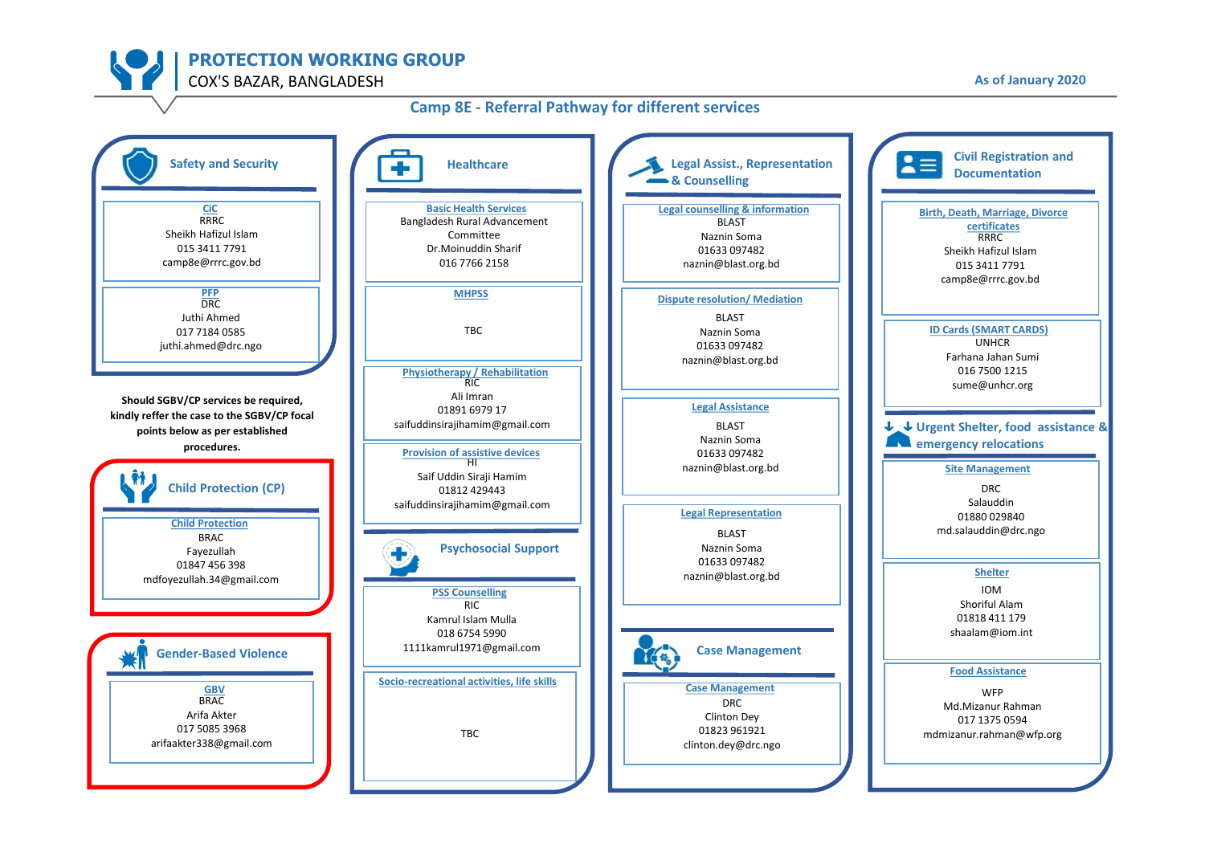### **Camp 8E - Referral Pathway for different services**

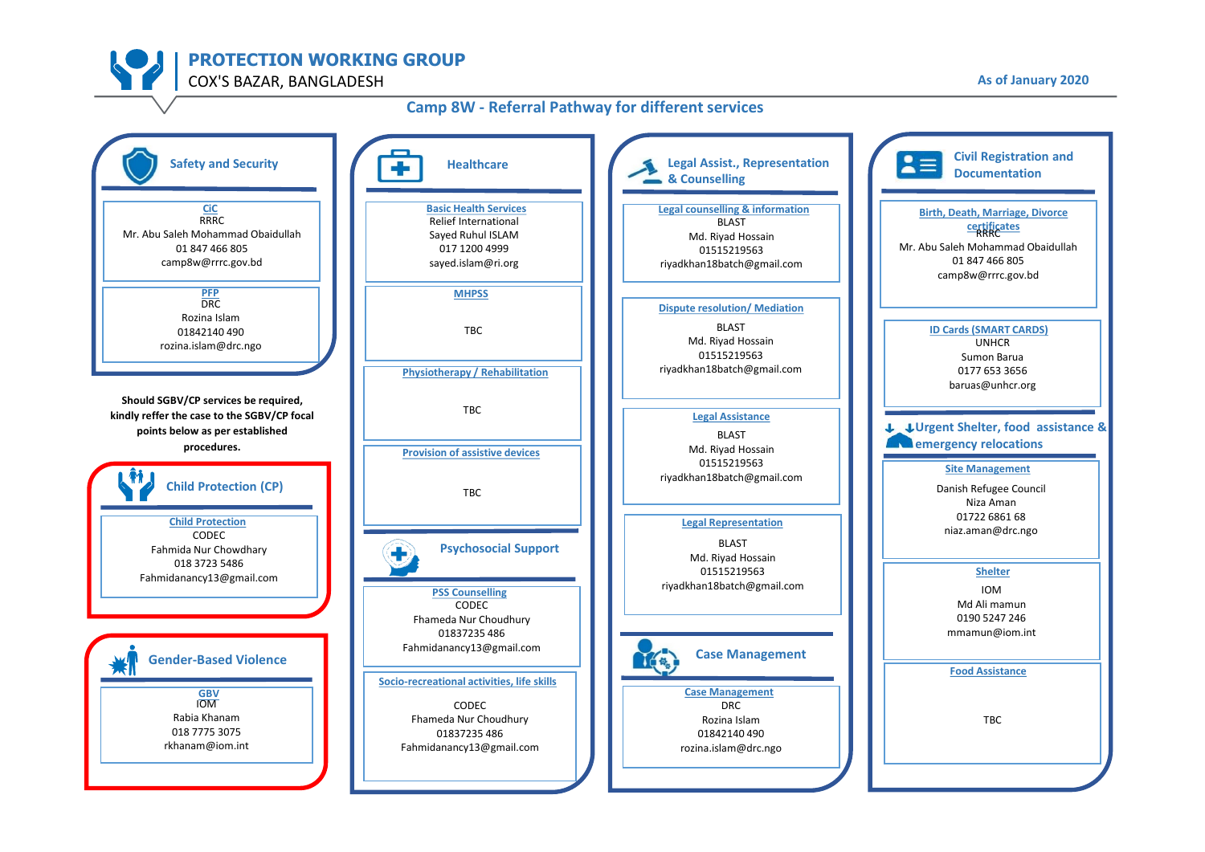# **Camp 8W - Referral Pathway for different services**

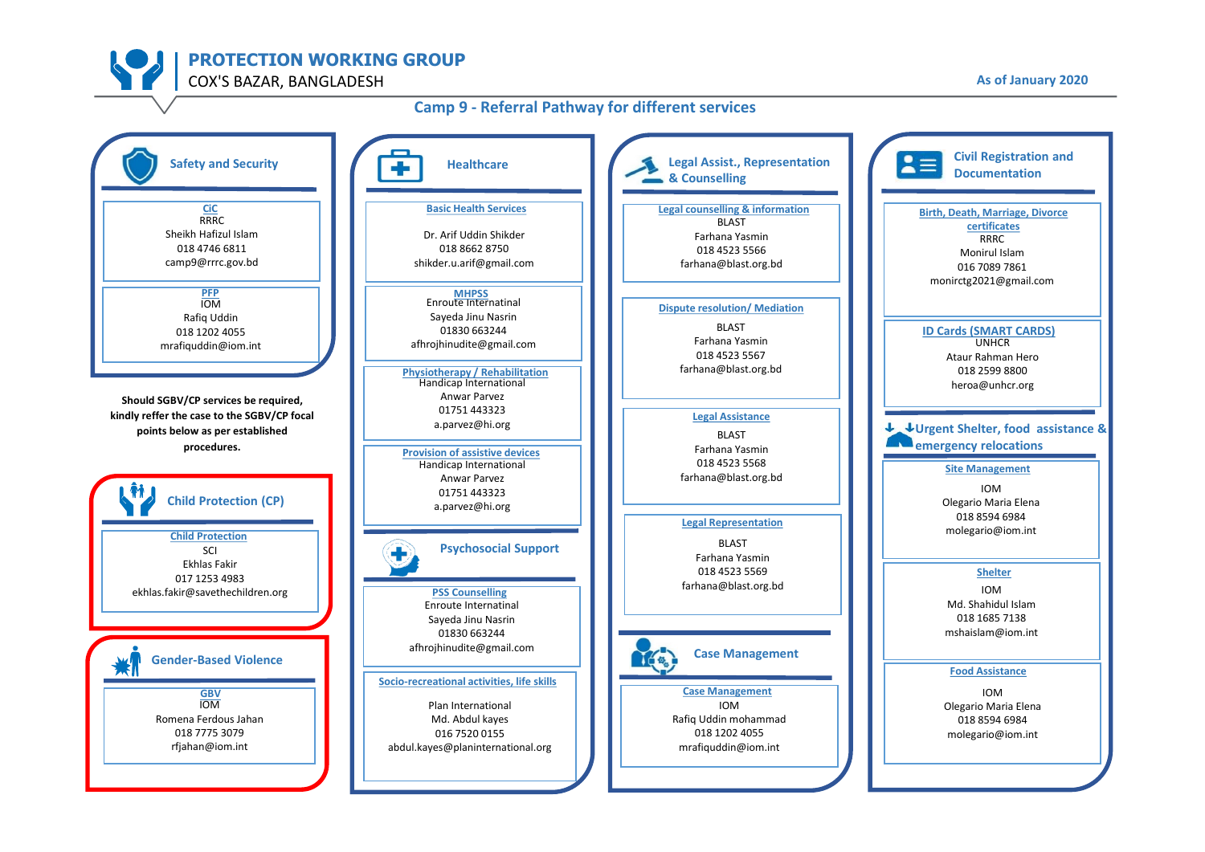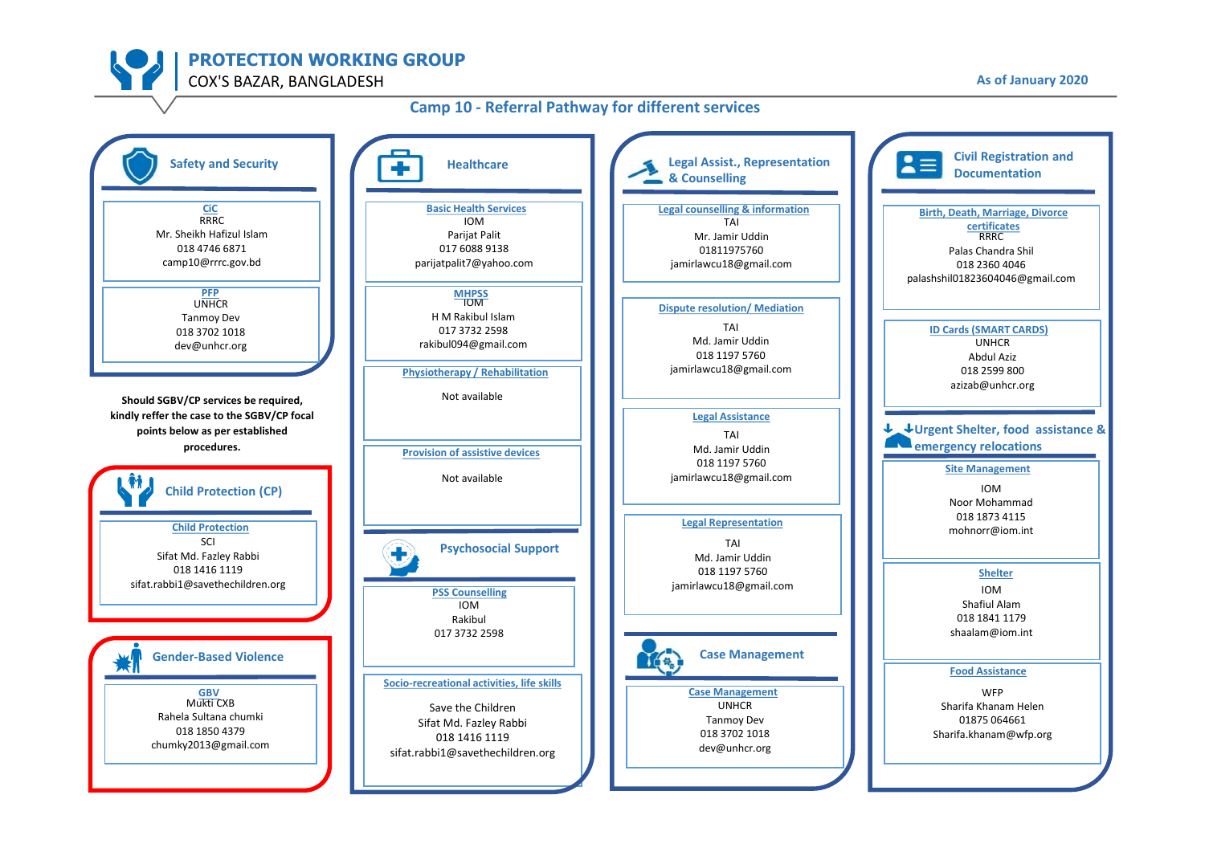### **Camp 10 - Referral Pathway for different services**

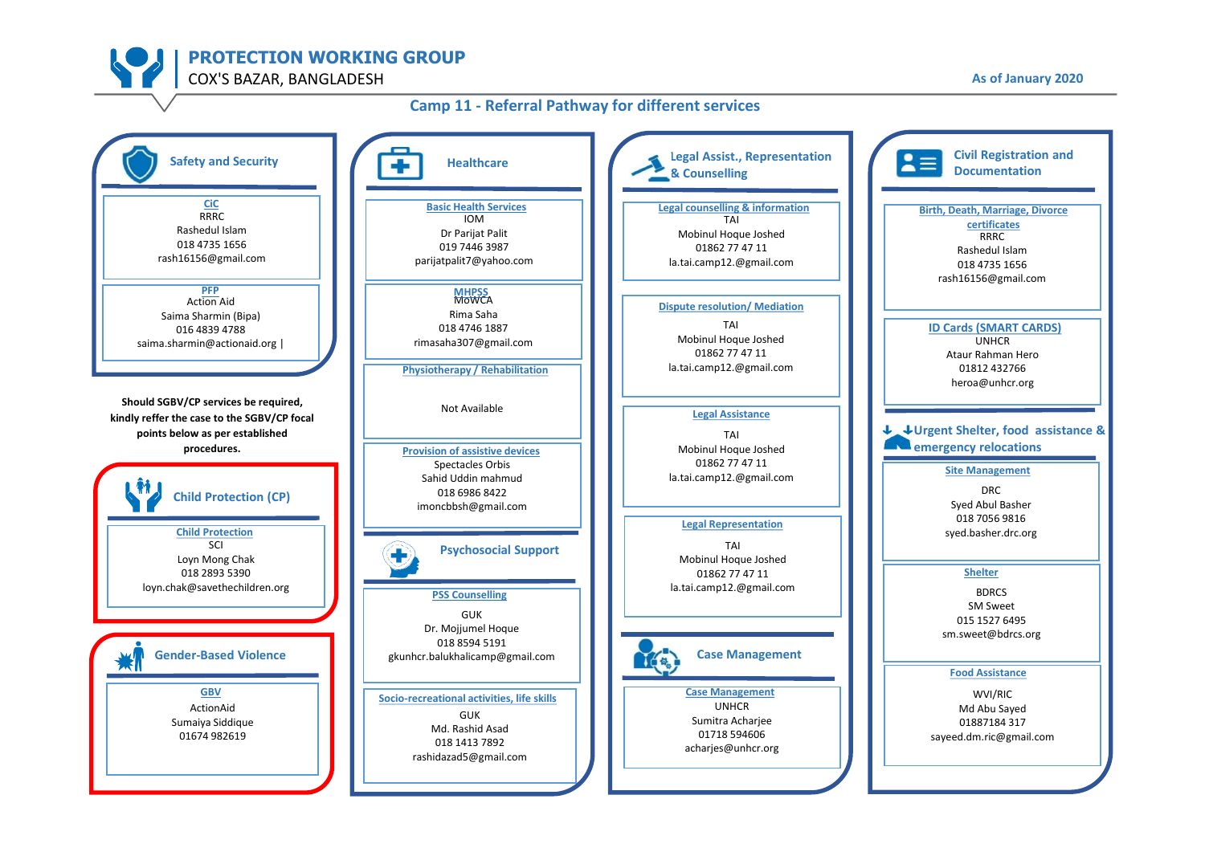

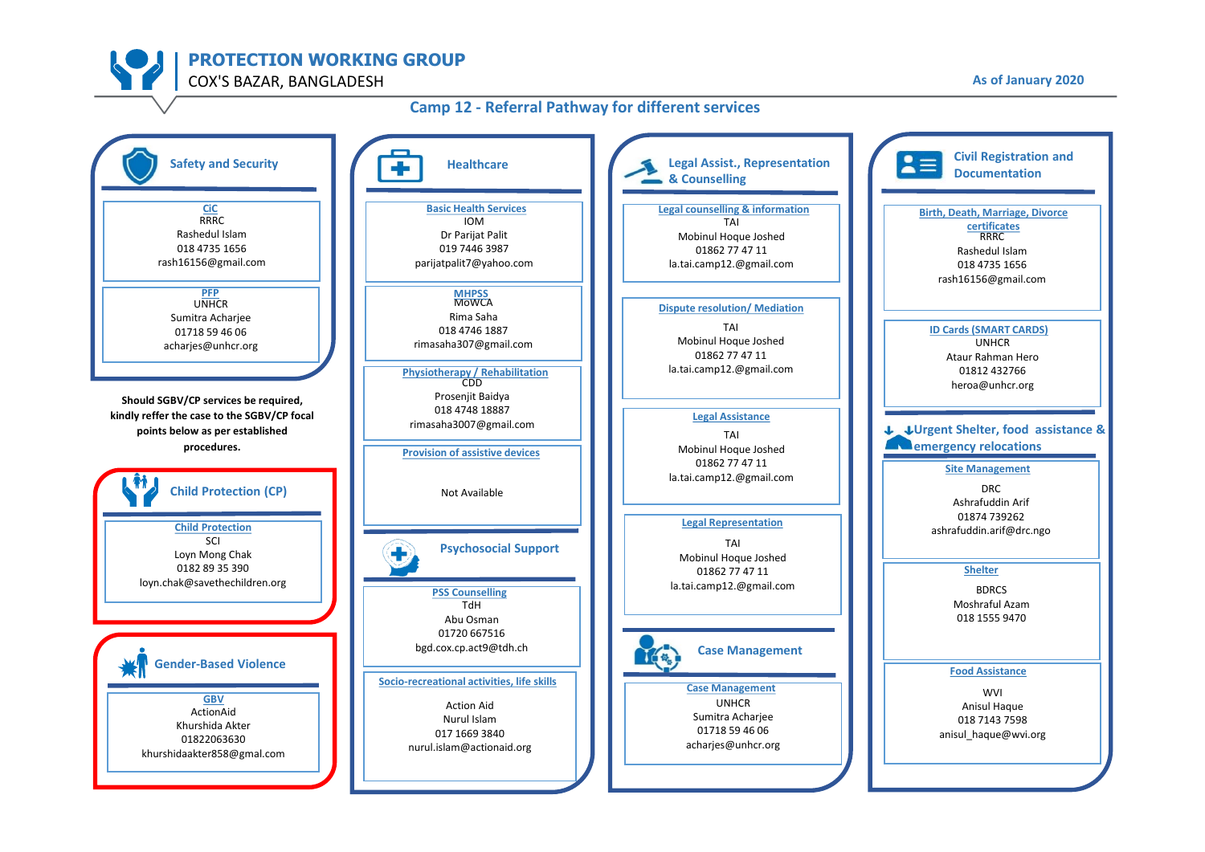#### **Camp 12 - Referral Pathway for different services**

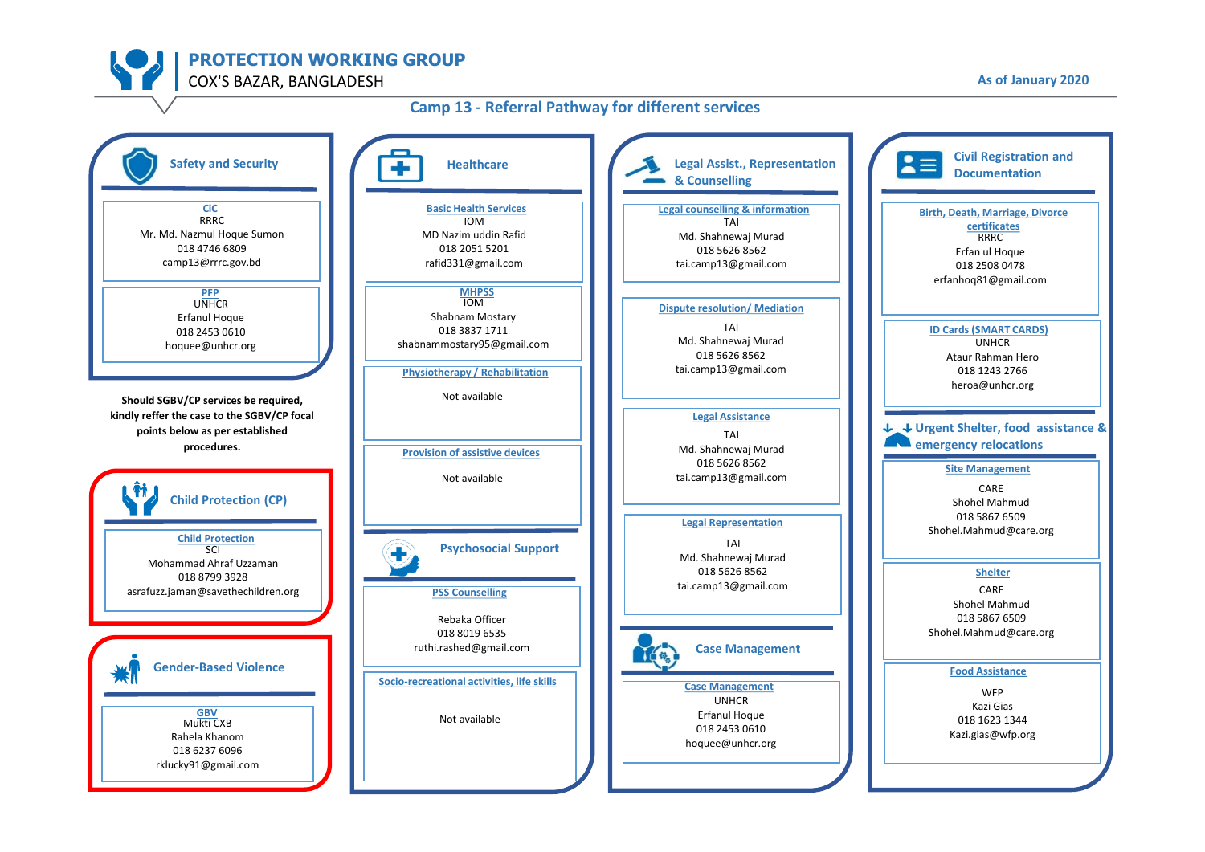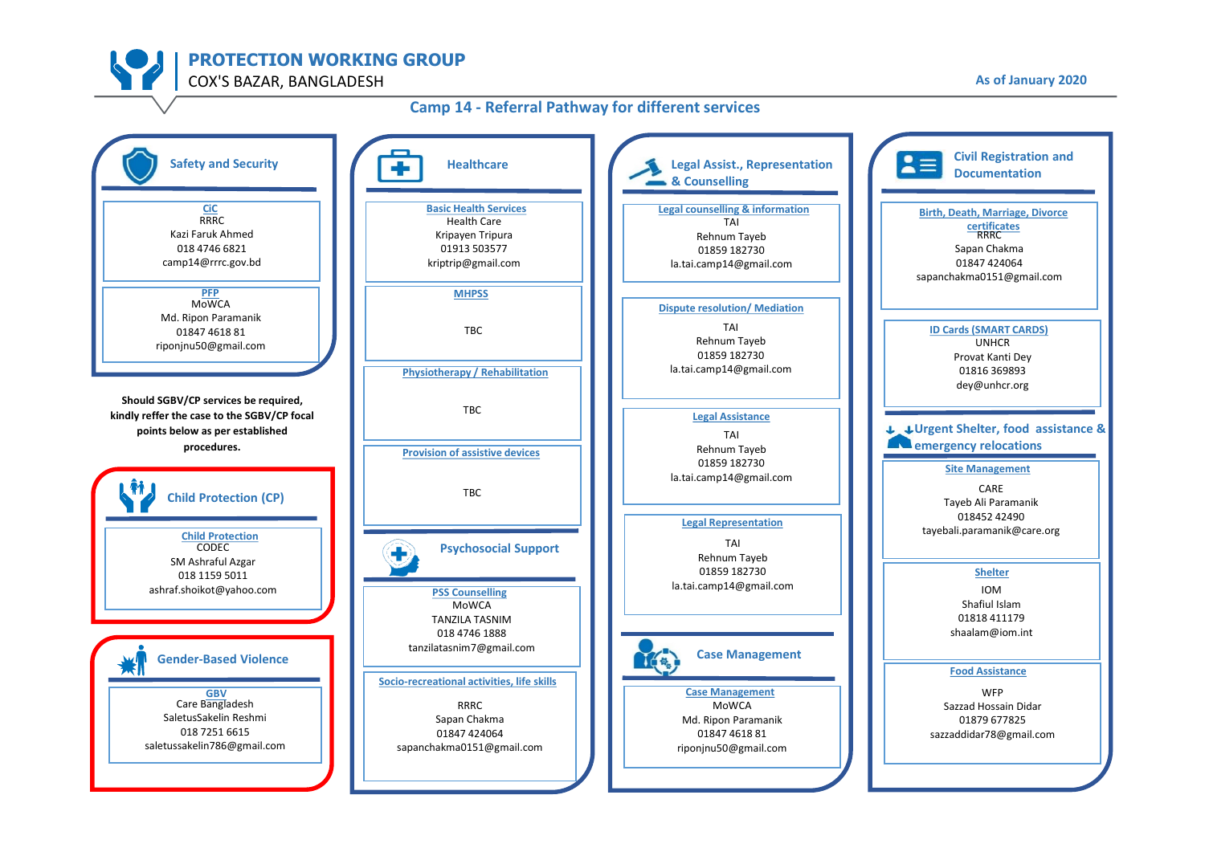## **Camp 14 - Referral Pathway for different services**

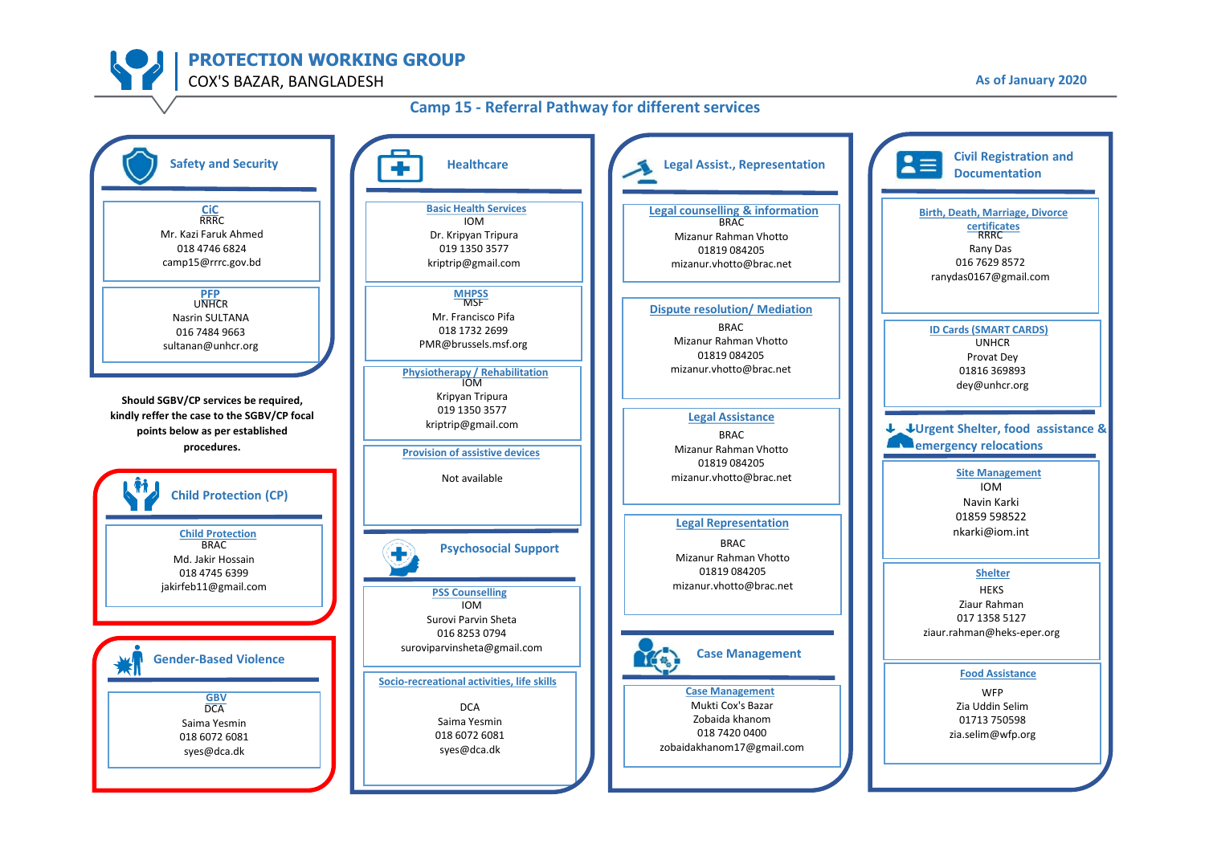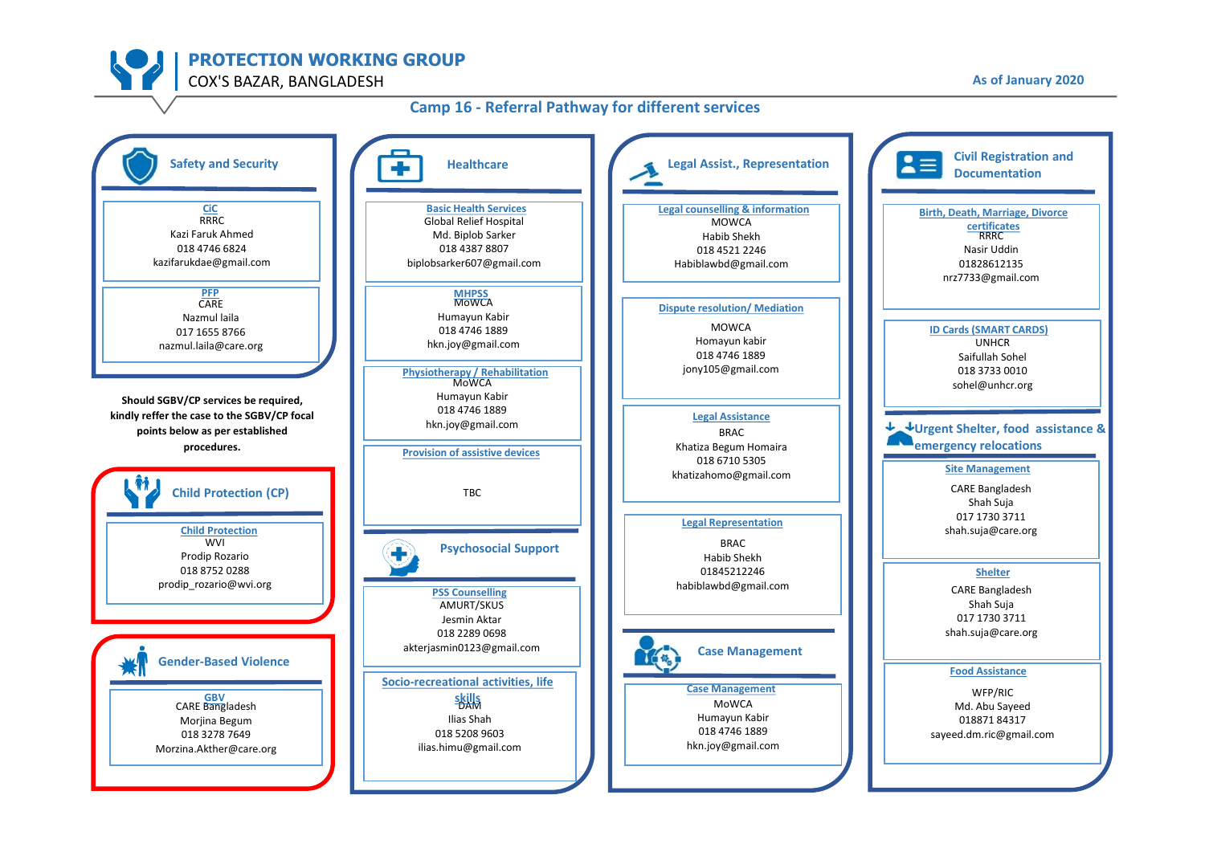### **Camp 16 - Referral Pathway for different services**

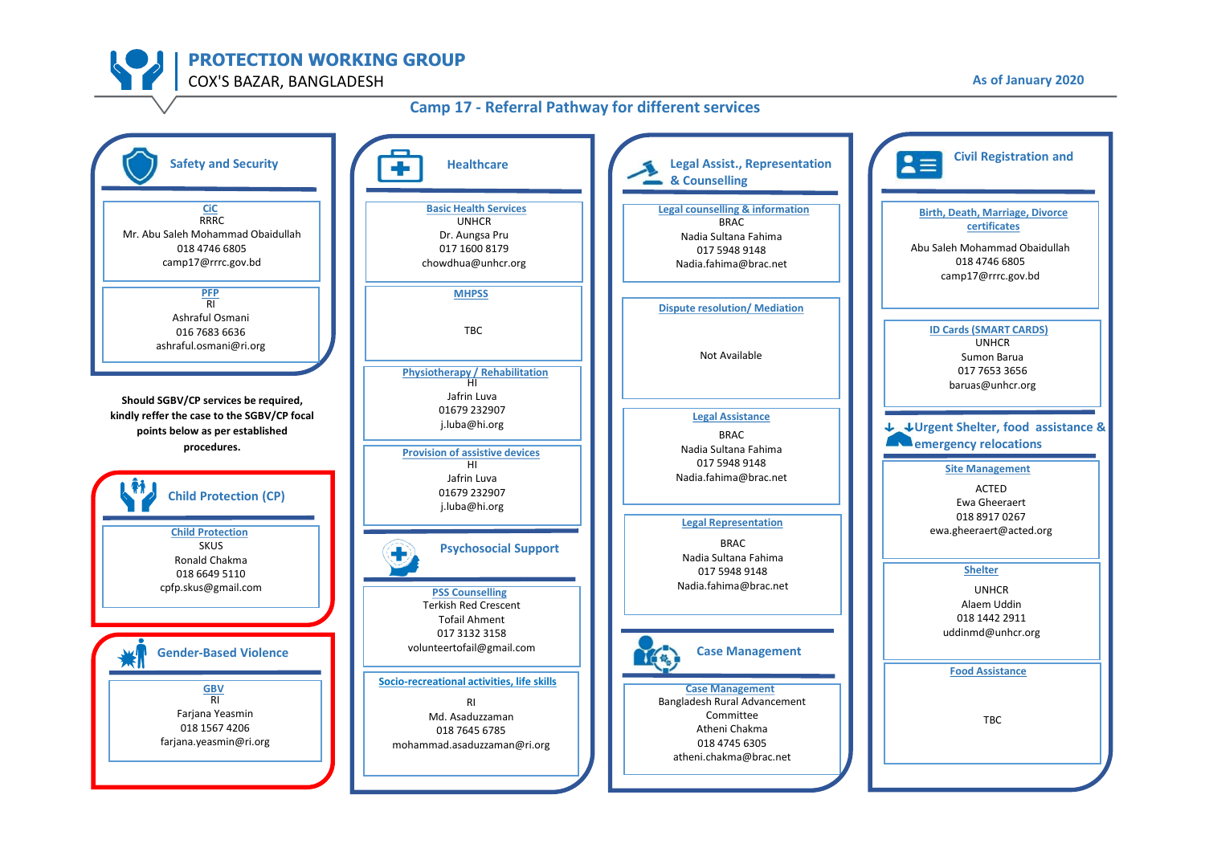### **Camp 17 - Referral Pathway for different services**

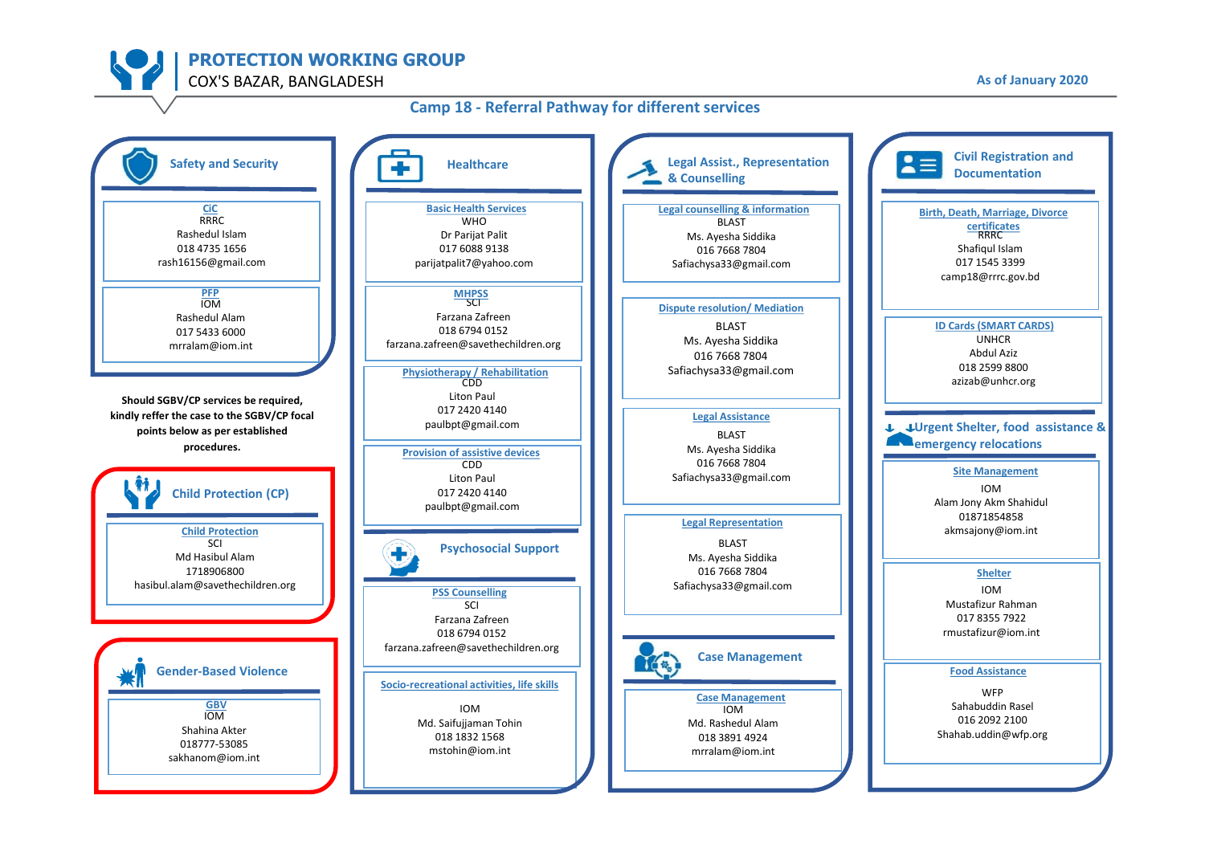### **Camp 18 - Referral Pathway for different services**

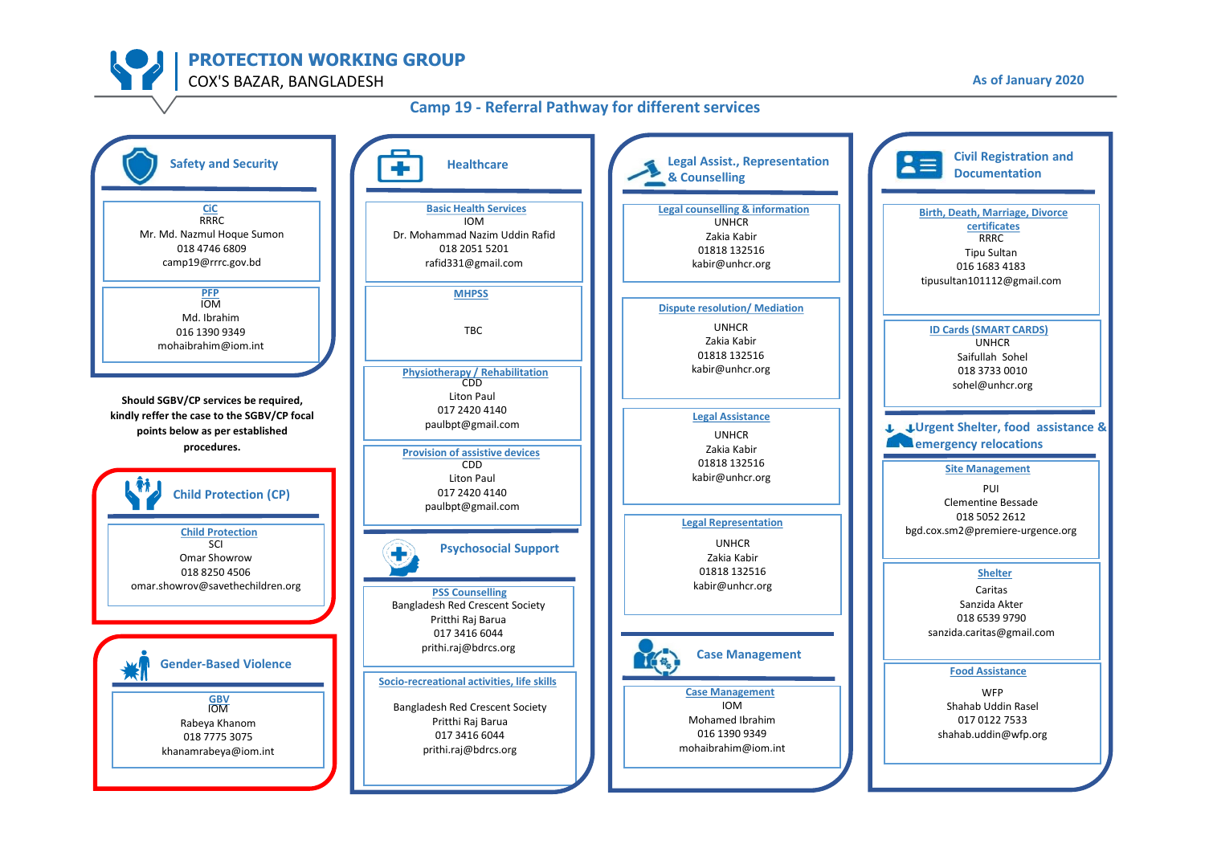### **Camp 19 - Referral Pathway for different services**

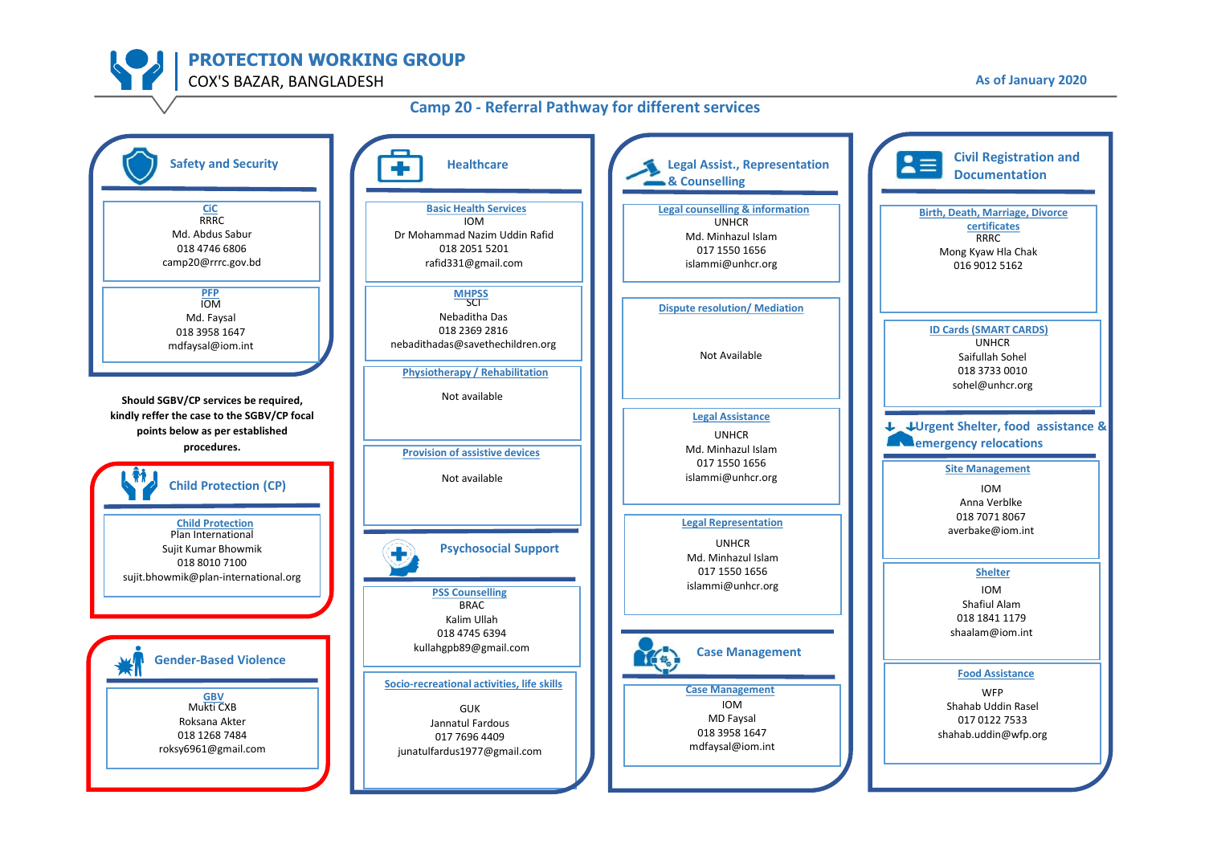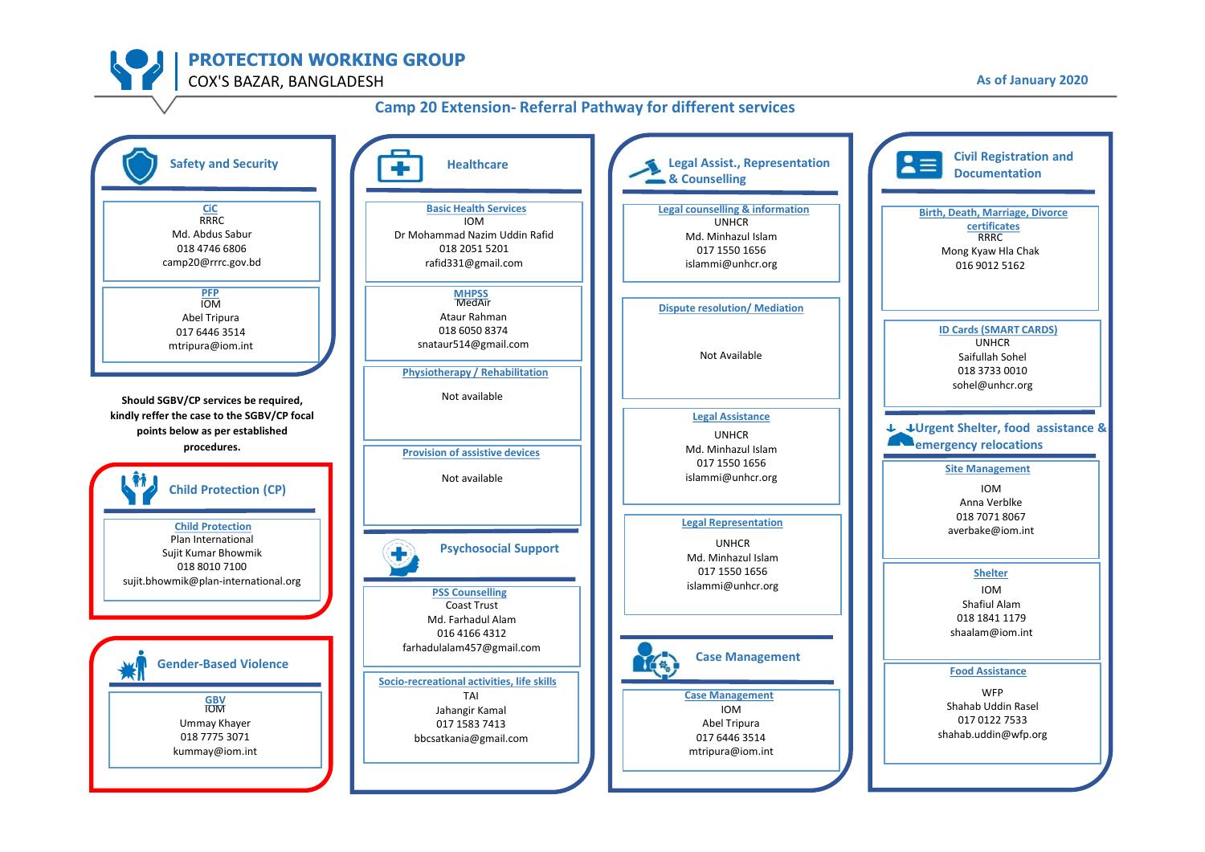

### **Camp 20 Extension- Referral Pathway for different services**

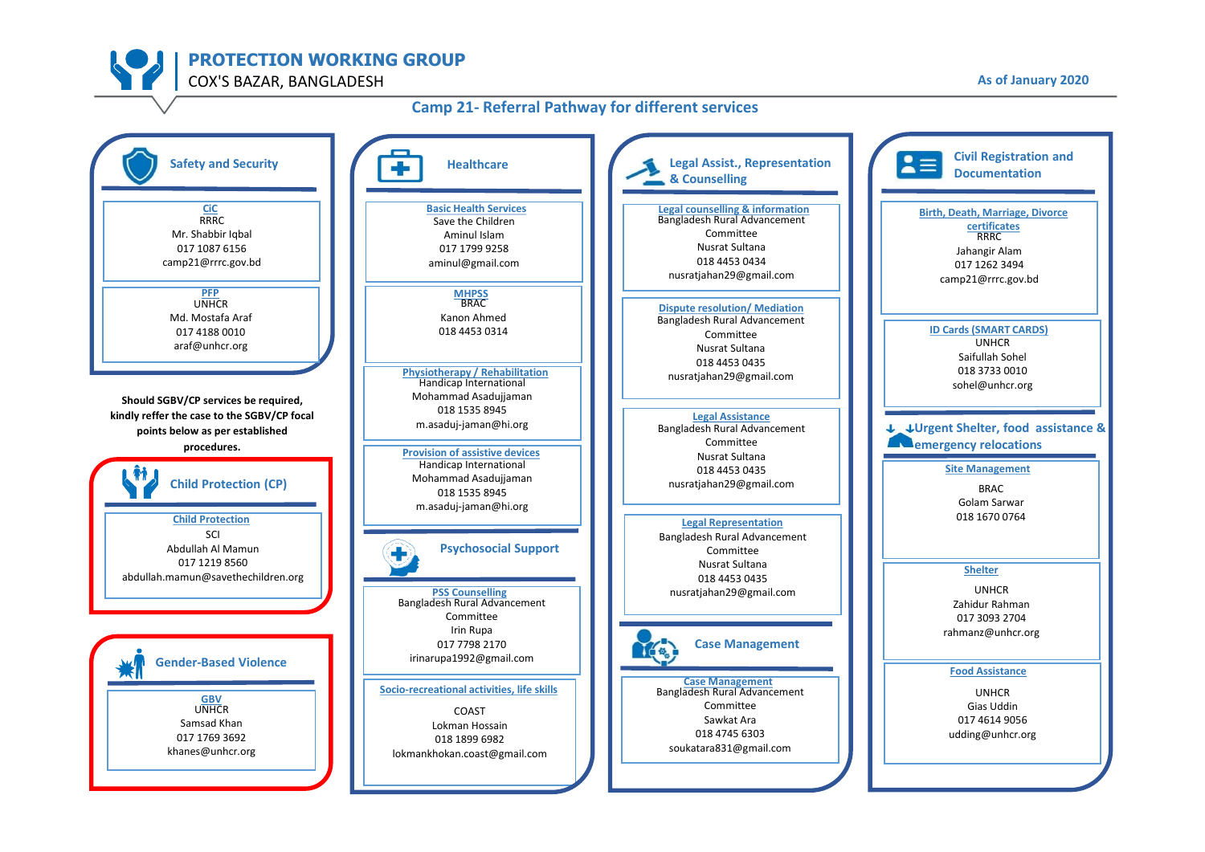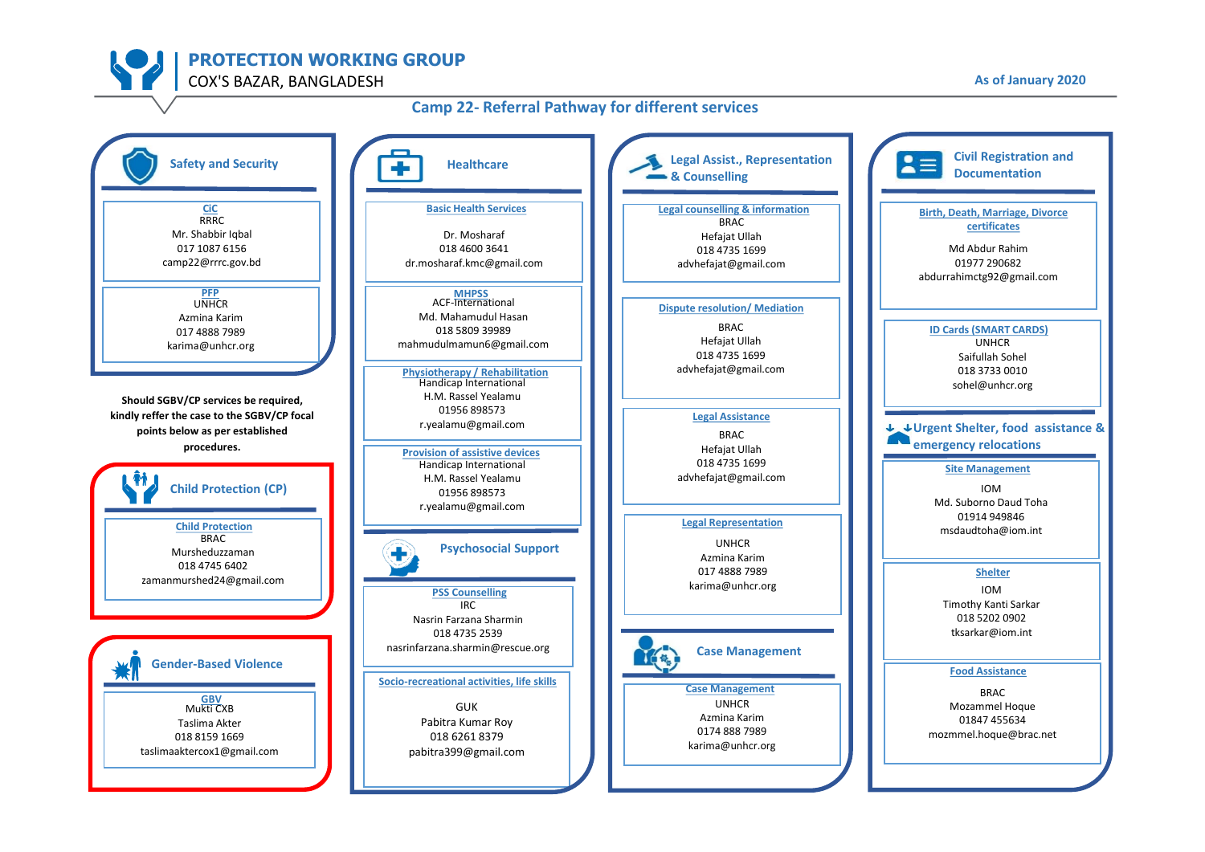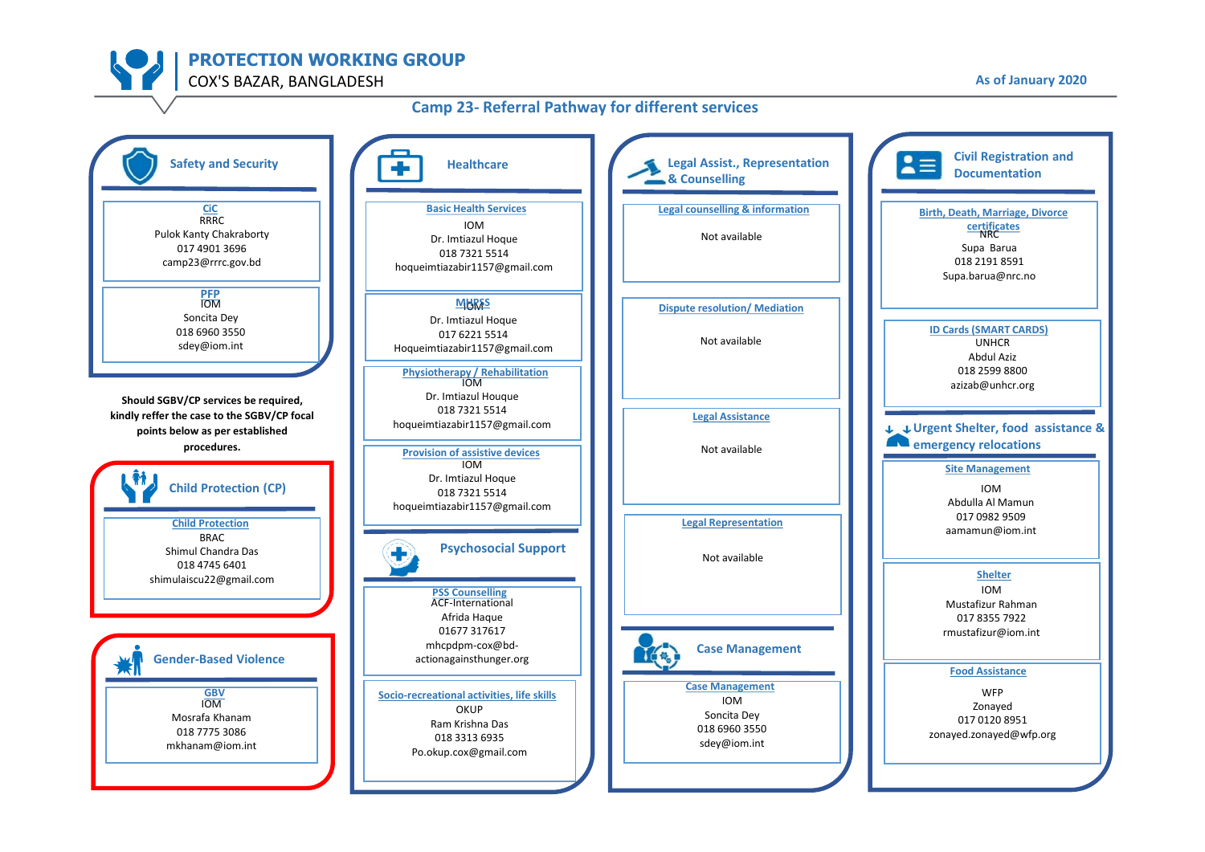## **Camp 23- Referral Pathway for different services**

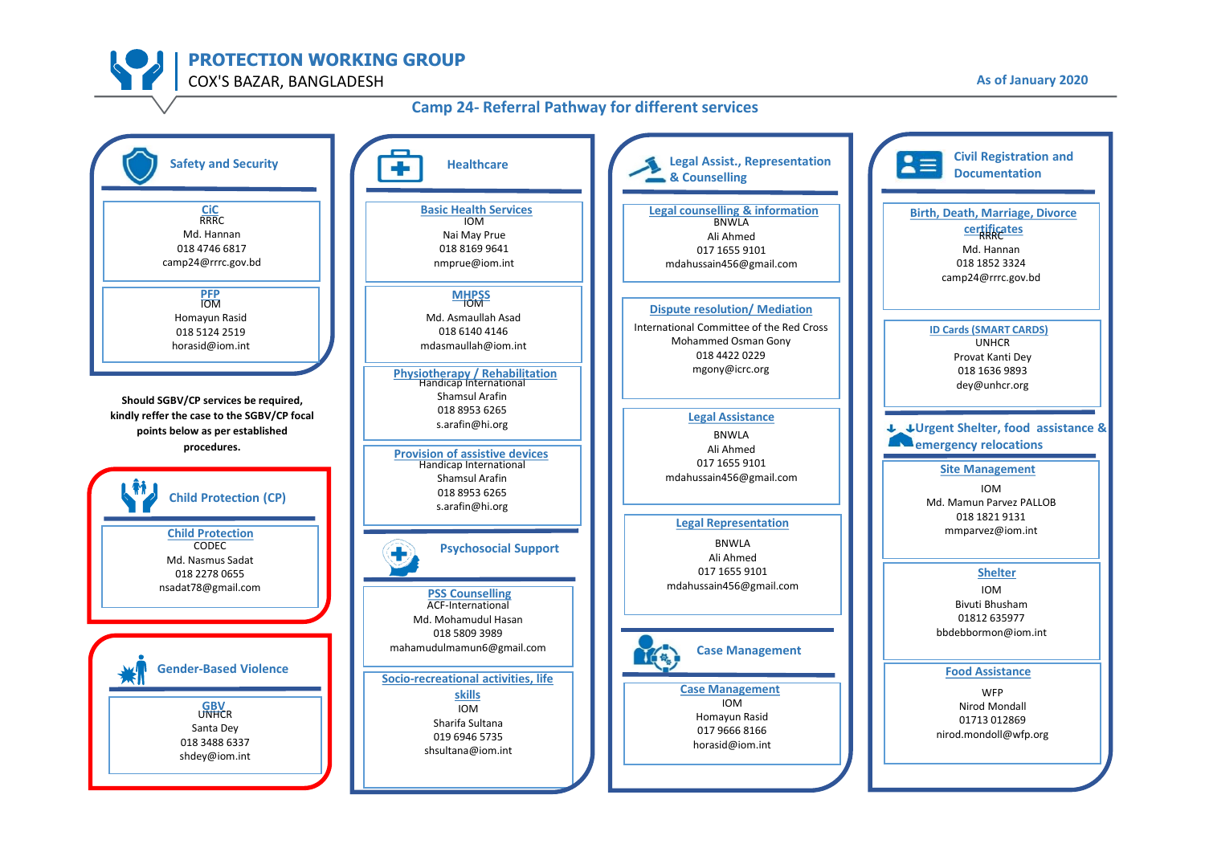#### **Camp 24- Referral Pathway for different services**

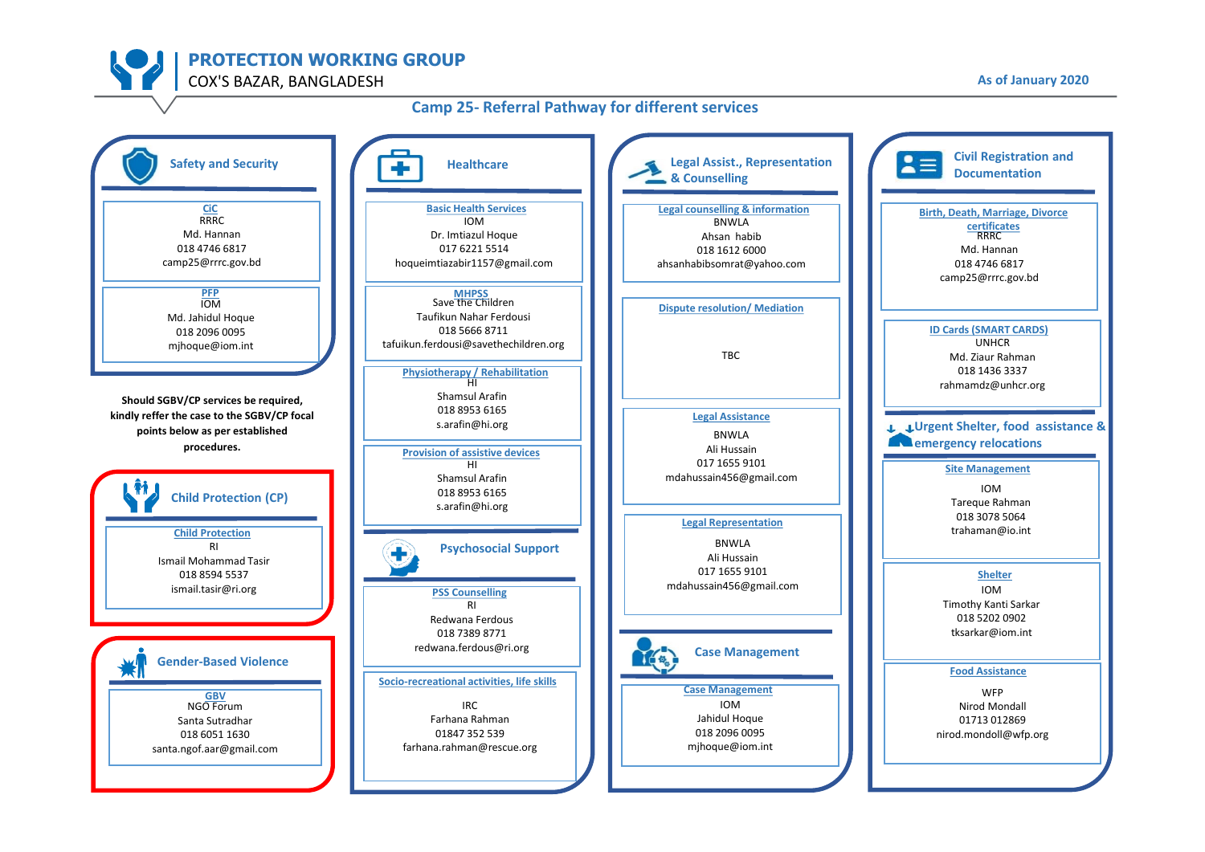#### **Camp 25- Referral Pathway for different services**

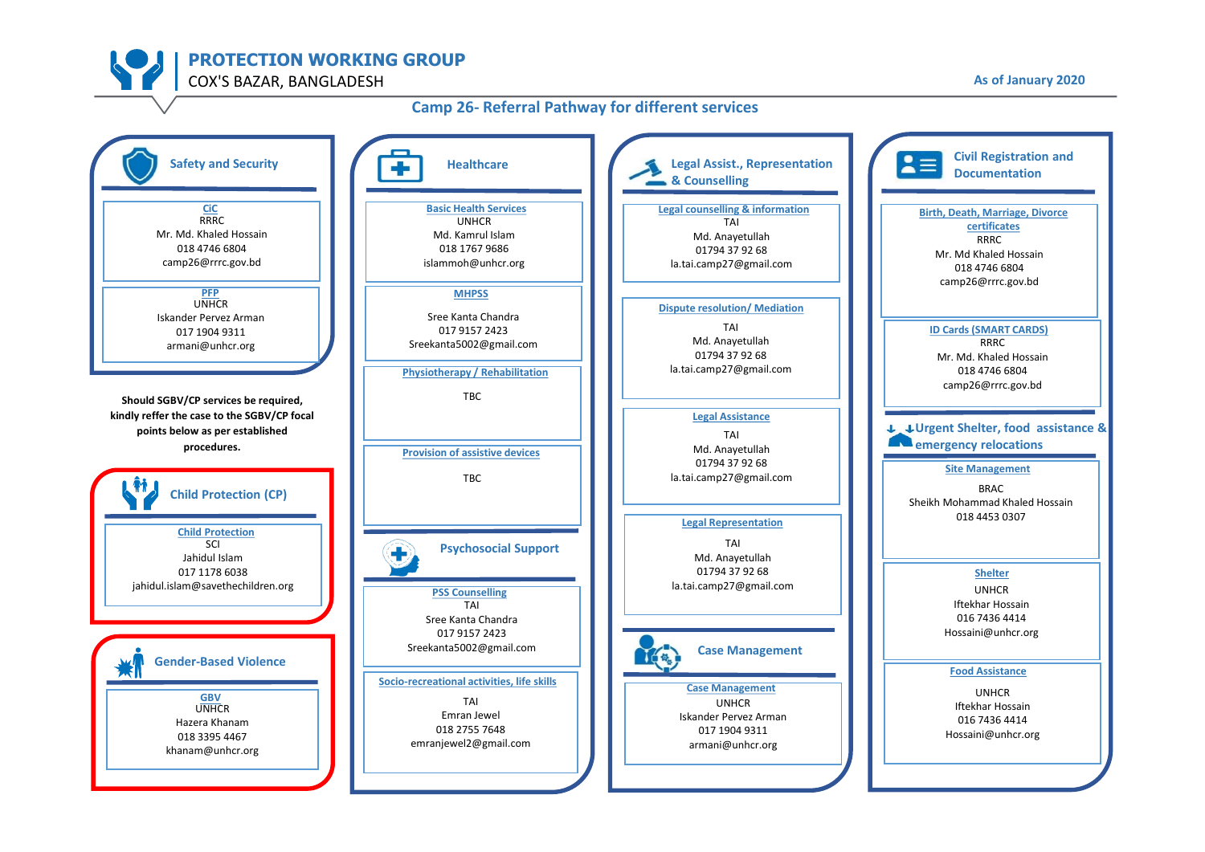# **Camp 26- Referral Pathway for different services**

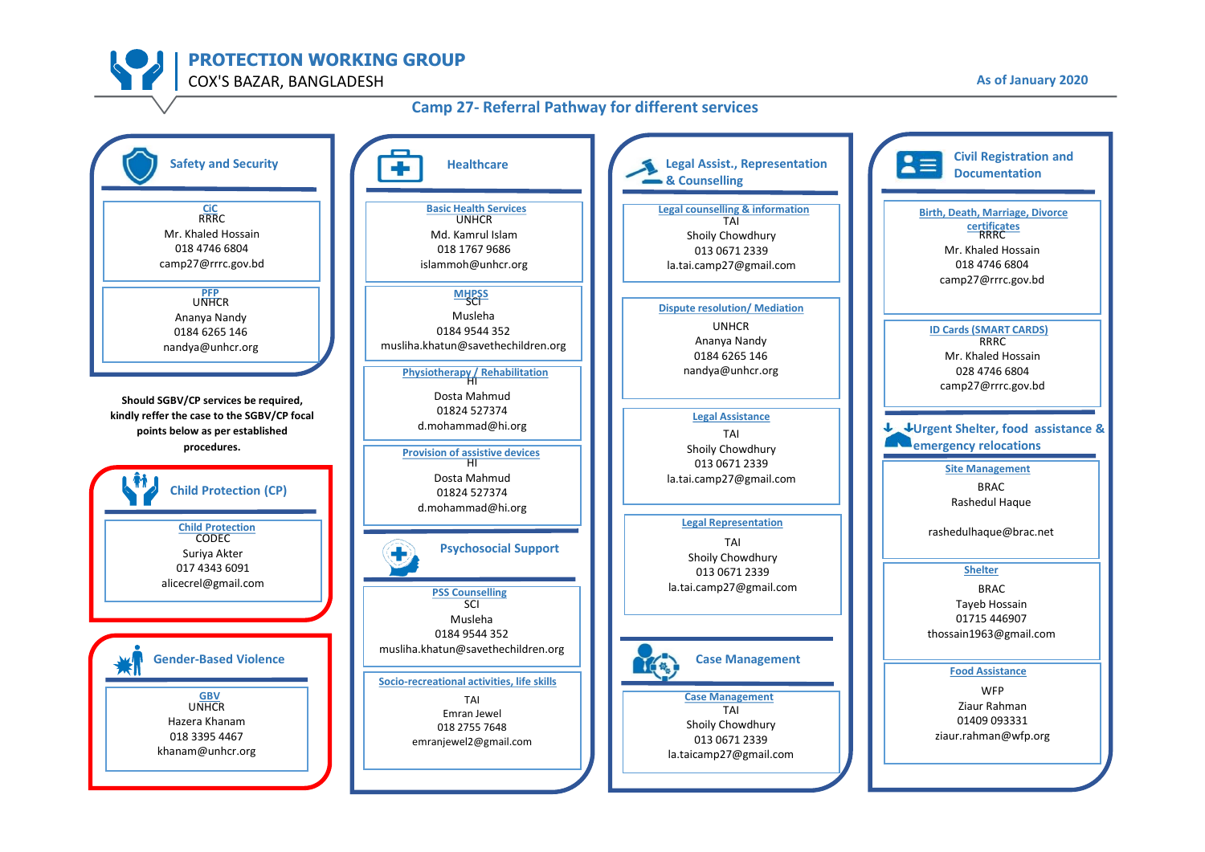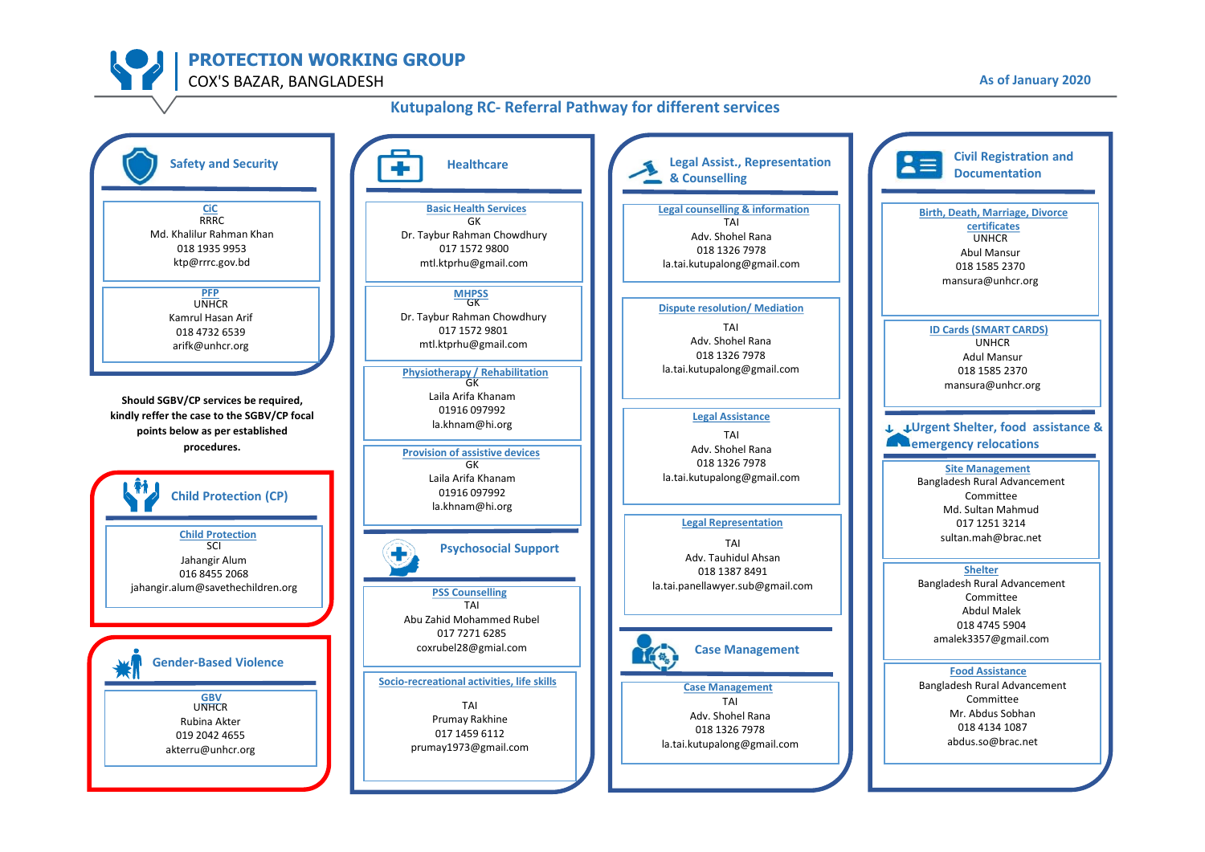